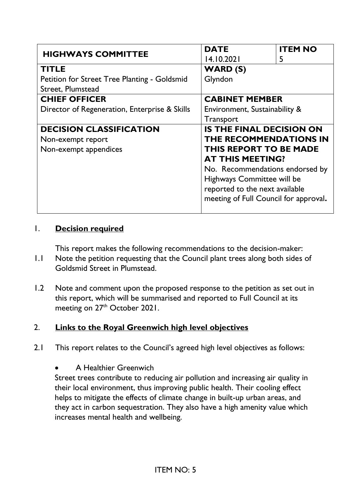| <b>HIGHWAYS COMMITTEE</b>                     | <b>DATE</b>                                                   | <b>ITEM NO</b> |
|-----------------------------------------------|---------------------------------------------------------------|----------------|
|                                               | 14.10.2021                                                    | 5              |
| <b>TITLE</b>                                  | <b>WARD (S)</b>                                               |                |
| Petition for Street Tree Planting - Goldsmid  | Glyndon                                                       |                |
| Street, Plumstead                             |                                                               |                |
| <b>CHIEF OFFICER</b>                          | <b>CABINET MEMBER</b>                                         |                |
| Director of Regeneration, Enterprise & Skills | Environment, Sustainability &                                 |                |
|                                               | Transport                                                     |                |
| <b>DECISION CLASSIFICATION</b>                | <b>IS THE FINAL DECISION ON</b>                               |                |
| Non-exempt report                             | THE RECOMMENDATIONS IN                                        |                |
| Non-exempt appendices                         | THIS REPORT TO BE MADE                                        |                |
|                                               | <b>AT THIS MEETING?</b>                                       |                |
|                                               | No. Recommendations endorsed by<br>Highways Committee will be |                |
|                                               |                                                               |                |
|                                               | reported to the next available                                |                |
|                                               | meeting of Full Council for approval.                         |                |
|                                               |                                                               |                |

### 1. **Decision required**

This report makes the following recommendations to the decision-maker:

- 1.1 Note the petition requesting that the Council plant trees along both sides of Goldsmid Street in Plumstead.
- 1.2 Note and comment upon the proposed response to the petition as set out in this report, which will be summarised and reported to Full Council at its meeting on 27<sup>th</sup> October 2021.

## 2. **Links to the Royal Greenwich high level objectives**

2.1 This report relates to the Council's agreed high level objectives as follows:

• A Healthier Greenwich

Street trees contribute to reducing air pollution and increasing air quality in their local environment, thus improving public health. Their cooling effect helps to mitigate the effects of climate change in built-up urban areas, and they act in carbon sequestration. They also have a high amenity value which increases mental health and wellbeing.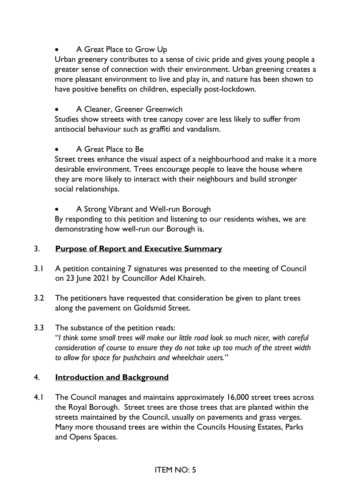## • A Great Place to Grow Up

Urban greenery contributes to a sense of civic pride and gives young people a greater sense of connection with their environment. Urban greening creates a more pleasant environment to live and play in, and nature has been shown to have positive benefits on children, especially post-lockdown.

## • A Cleaner, Greener Greenwich

Studies show streets with tree canopy cover are less likely to suffer from antisocial behaviour such as graffiti and vandalism.

### • A Great Place to Be

Street trees enhance the visual aspect of a neighbourhood and make it a more desirable environment. Trees encourage people to leave the house where they are more likely to interact with their neighbours and build stronger social relationships.

• A Strong Vibrant and Well-run Borough

By responding to this petition and listening to our residents wishes, we are demonstrating how well-run our Borough is.

## 3. **Purpose of Report and Executive Summary**

- 3.1 A petition containing 7 signatures was presented to the meeting of Council on 23 June 2021 by Councillor Adel Khaireh.
- 3.2 The petitioners have requested that consideration be given to plant trees along the pavement on Goldsmid Street.

### 3.3 The substance of the petition reads:

"*I think some small trees will make our little road look so much nicer, with careful consideration of course to ensure they do not take up too much of the street width to allow for space for pushchairs and wheelchair users."*

### 4. **Introduction and Background**

4.1 The Council manages and maintains approximately 16,000 street trees across the Royal Borough. Street trees are those trees that are planted within the streets maintained by the Council, usually on pavements and grass verges. Many more thousand trees are within the Councils Housing Estates, Parks and Opens Spaces.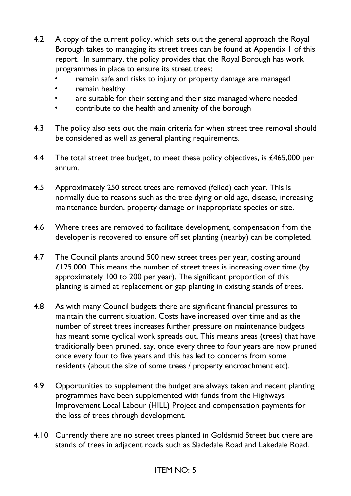- 4.2 A copy of the current policy, which sets out the general approach the Royal Borough takes to managing its street trees can be found at Appendix 1 of this report. In summary, the policy provides that the Royal Borough has work programmes in place to ensure its street trees:
	- remain safe and risks to injury or property damage are managed
	- remain healthy
	- are suitable for their setting and their size managed where needed
	- contribute to the health and amenity of the borough
- 4.3 The policy also sets out the main criteria for when street tree removal should be considered as well as general planting requirements.
- 4.4 The total street tree budget, to meet these policy objectives, is £465,000 per annum.
- 4.5 Approximately 250 street trees are removed (felled) each year. This is normally due to reasons such as the tree dying or old age, disease, increasing maintenance burden, property damage or inappropriate species or size.
- 4.6 Where trees are removed to facilitate development, compensation from the developer is recovered to ensure off set planting (nearby) can be completed.
- 4.7 The Council plants around 500 new street trees per year, costing around £125,000. This means the number of street trees is increasing over time (by approximately 100 to 200 per year). The significant proportion of this planting is aimed at replacement or gap planting in existing stands of trees.
- 4.8 As with many Council budgets there are significant financial pressures to maintain the current situation. Costs have increased over time and as the number of street trees increases further pressure on maintenance budgets has meant some cyclical work spreads out. This means areas (trees) that have traditionally been pruned, say, once every three to four years are now pruned once every four to five years and this has led to concerns from some residents (about the size of some trees / property encroachment etc).
- 4.9 Opportunities to supplement the budget are always taken and recent planting programmes have been supplemented with funds from the Highways Improvement Local Labour (HILL) Project and compensation payments for the loss of trees through development.
- 4.10 Currently there are no street trees planted in Goldsmid Street but there are stands of trees in adjacent roads such as Sladedale Road and Lakedale Road.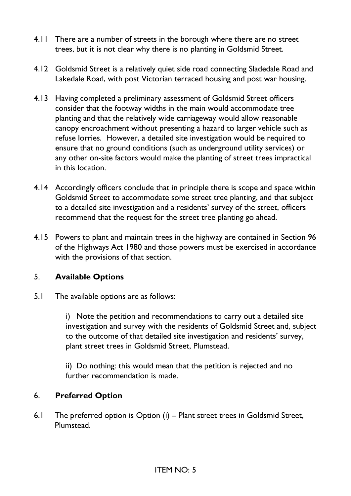- 4.11 There are a number of streets in the borough where there are no street trees, but it is not clear why there is no planting in Goldsmid Street.
- 4.12 Goldsmid Street is a relatively quiet side road connecting Sladedale Road and Lakedale Road, with post Victorian terraced housing and post war housing.
- 4.13 Having completed a preliminary assessment of Goldsmid Street officers consider that the footway widths in the main would accommodate tree planting and that the relatively wide carriageway would allow reasonable canopy encroachment without presenting a hazard to larger vehicle such as refuse lorries. However, a detailed site investigation would be required to ensure that no ground conditions (such as underground utility services) or any other on-site factors would make the planting of street trees impractical in this location.
- 4.14 Accordingly officers conclude that in principle there is scope and space within Goldsmid Street to accommodate some street tree planting, and that subject to a detailed site investigation and a residents' survey of the street, officers recommend that the request for the street tree planting go ahead.
- 4.15 Powers to plant and maintain trees in the highway are contained in Section 96 of the Highways Act 1980 and those powers must be exercised in accordance with the provisions of that section.

### 5. **Available Options**

5.1 The available options are as follows:

i) Note the petition and recommendations to carry out a detailed site investigation and survey with the residents of Goldsmid Street and, subject to the outcome of that detailed site investigation and residents' survey, plant street trees in Goldsmid Street, Plumstead.

ii) Do nothing: this would mean that the petition is rejected and no further recommendation is made.

#### 6. **Preferred Option**

6.1 The preferred option is Option (i) – Plant street trees in Goldsmid Street, Plumstead.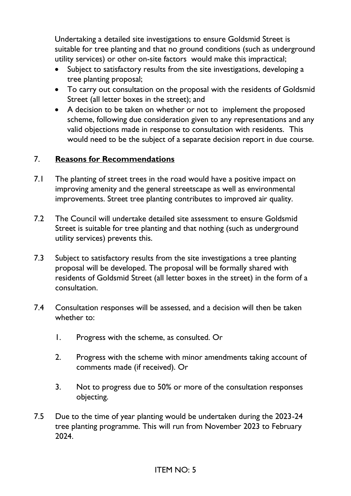Undertaking a detailed site investigations to ensure Goldsmid Street is suitable for tree planting and that no ground conditions (such as underground utility services) or other on-site factors would make this impractical;

- Subject to satisfactory results from the site investigations, developing a tree planting proposal;
- To carry out consultation on the proposal with the residents of Goldsmid Street (all letter boxes in the street); and
- A decision to be taken on whether or not to implement the proposed scheme, following due consideration given to any representations and any valid objections made in response to consultation with residents. This would need to be the subject of a separate decision report in due course.

### 7. **Reasons for Recommendations**

- 7.1 The planting of street trees in the road would have a positive impact on improving amenity and the general streetscape as well as environmental improvements. Street tree planting contributes to improved air quality.
- 7.2 The Council will undertake detailed site assessment to ensure Goldsmid Street is suitable for tree planting and that nothing (such as underground utility services) prevents this.
- 7.3 Subject to satisfactory results from the site investigations a tree planting proposal will be developed. The proposal will be formally shared with residents of Goldsmid Street (all letter boxes in the street) in the form of a consultation.
- 7.4 Consultation responses will be assessed, and a decision will then be taken whether to:
	- 1. Progress with the scheme, as consulted. Or
	- 2. Progress with the scheme with minor amendments taking account of comments made (if received). Or
	- 3. Not to progress due to 50% or more of the consultation responses objecting.
- 7.5 Due to the time of year planting would be undertaken during the 2023-24 tree planting programme. This will run from November 2023 to February 2024.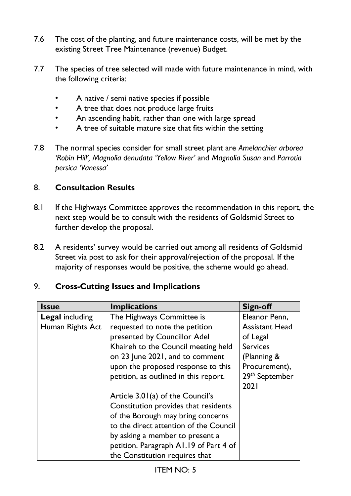- 7.6 The cost of the planting, and future maintenance costs, will be met by the existing Street Tree Maintenance (revenue) Budget.
- 7.7 The species of tree selected will made with future maintenance in mind, with the following criteria:
	- A native / semi native species if possible
	- A tree that does not produce large fruits
	- An ascending habit, rather than one with large spread
	- A tree of suitable mature size that fits within the setting
- 7.8 The normal species consider for small street plant are *Amelanchier arborea 'Robin Hill', Magnolia denudata 'Yellow River'* and *Magnolia Susan* and *Parrotia persica 'Vanessa'*

## 8. **Consultation Results**

- 8.1 If the Highways Committee approves the recommendation in this report, the next step would be to consult with the residents of Goldsmid Street to further develop the proposal.
- 8.2 A residents' survey would be carried out among all residents of Goldsmid Street via post to ask for their approval/rejection of the proposal. If the majority of responses would be positive, the scheme would go ahead.

| <b>Issue</b>           | <b>Implications</b>                    | <b>Sign-off</b>            |
|------------------------|----------------------------------------|----------------------------|
| <b>Legal including</b> | The Highways Committee is              | Eleanor Penn,              |
| Human Rights Act       | requested to note the petition         | <b>Assistant Head</b>      |
|                        | presented by Councillor Adel           | of Legal                   |
|                        | Khaireh to the Council meeting held    | <b>Services</b>            |
|                        | on 23 June 2021, and to comment        | (Planning &                |
|                        | upon the proposed response to this     | Procurement),              |
|                        | petition, as outlined in this report.  | 29 <sup>th</sup> September |
|                        |                                        | 2021                       |
|                        | Article 3.01(a) of the Council's       |                            |
|                        | Constitution provides that residents   |                            |
|                        | of the Borough may bring concerns      |                            |
|                        | to the direct attention of the Council |                            |
|                        | by asking a member to present a        |                            |
|                        | petition. Paragraph A1.19 of Part 4 of |                            |
|                        | the Constitution requires that         |                            |

## 9. **Cross-Cutting Issues and Implications**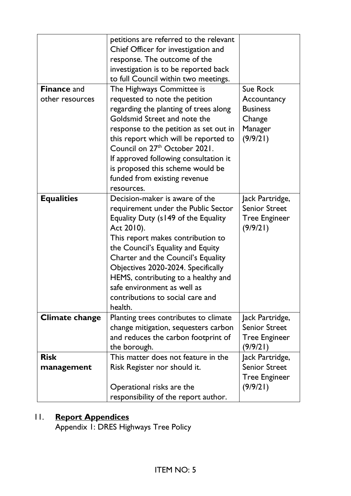|                       | petitions are referred to the relevant              |                                         |
|-----------------------|-----------------------------------------------------|-----------------------------------------|
|                       | Chief Officer for investigation and                 |                                         |
|                       | response. The outcome of the                        |                                         |
|                       |                                                     |                                         |
|                       | investigation is to be reported back                |                                         |
|                       | to full Council within two meetings.                |                                         |
| <b>Finance and</b>    | The Highways Committee is                           | Sue Rock                                |
| other resources       | requested to note the petition                      | Accountancy                             |
|                       | regarding the planting of trees along               | <b>Business</b>                         |
|                       | Goldsmid Street and note the                        | Change                                  |
|                       | response to the petition as set out in              | Manager                                 |
|                       | this report which will be reported to               | (9/9/21)                                |
|                       | Council on 27 <sup>th</sup> October 2021.           |                                         |
|                       | If approved following consultation it               |                                         |
|                       | is proposed this scheme would be                    |                                         |
|                       | funded from existing revenue                        |                                         |
|                       | resources.                                          |                                         |
| <b>Equalities</b>     | Decision-maker is aware of the                      | Jack Partridge,                         |
|                       | requirement under the Public Sector                 | <b>Senior Street</b>                    |
|                       | Equality Duty (s149 of the Equality                 | <b>Tree Engineer</b>                    |
|                       | Act 2010).                                          | (9/9/21)                                |
|                       | This report makes contribution to                   |                                         |
|                       | the Council's Equality and Equity                   |                                         |
|                       | Charter and the Council's Equality                  |                                         |
|                       | Objectives 2020-2024. Specifically                  |                                         |
|                       | HEMS, contributing to a healthy and                 |                                         |
|                       | safe environment as well as                         |                                         |
|                       | contributions to social care and                    |                                         |
|                       | health.                                             |                                         |
| <b>Climate change</b> | Planting trees contributes to climate               | Jack Partridge,                         |
|                       | change mitigation, sequesters carbon                | <b>Senior Street</b>                    |
|                       | and reduces the carbon footprint of                 | <b>Tree Engineer</b>                    |
|                       |                                                     | (9/9/21)                                |
| <b>Risk</b>           | the borough.<br>This matter does not feature in the |                                         |
|                       |                                                     | Jack Partridge,<br><b>Senior Street</b> |
| management            | Risk Register nor should it.                        |                                         |
|                       |                                                     | <b>Tree Engineer</b>                    |
|                       | Operational risks are the                           | (9/9/21)                                |
|                       | responsibility of the report author.                |                                         |

### 11. **Report Appendices**

Appendix 1: DRES Highways Tree Policy